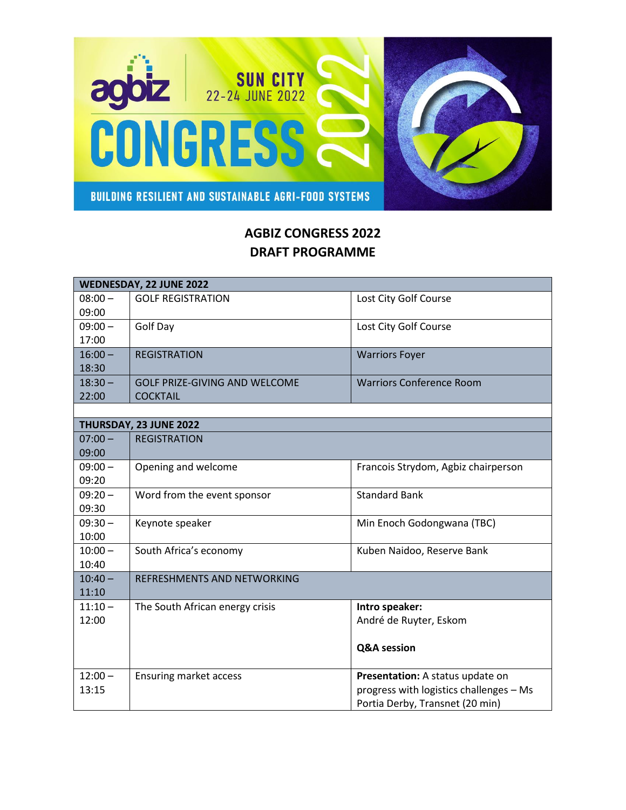

## **AGBIZ CONGRESS 2022 DRAFT PROGRAMME**

| WEDNESDAY, 22 JUNE 2022 |                                      |                                         |  |
|-------------------------|--------------------------------------|-----------------------------------------|--|
| $08:00 -$               | <b>GOLF REGISTRATION</b>             | Lost City Golf Course                   |  |
| 09:00                   |                                      |                                         |  |
| $09:00 -$               | Golf Day                             | Lost City Golf Course                   |  |
| 17:00                   |                                      |                                         |  |
| $16:00 -$               | <b>REGISTRATION</b>                  | <b>Warriors Foyer</b>                   |  |
| 18:30                   |                                      |                                         |  |
| $18:30 -$               | <b>GOLF PRIZE-GIVING AND WELCOME</b> | <b>Warriors Conference Room</b>         |  |
| 22:00                   | <b>COCKTAIL</b>                      |                                         |  |
|                         |                                      |                                         |  |
| THURSDAY, 23 JUNE 2022  |                                      |                                         |  |
| $07:00 -$               | <b>REGISTRATION</b>                  |                                         |  |
| 09:00                   |                                      |                                         |  |
| $09:00 -$               | Opening and welcome                  | Francois Strydom, Agbiz chairperson     |  |
| 09:20                   |                                      |                                         |  |
| $09:20 -$               | Word from the event sponsor          | <b>Standard Bank</b>                    |  |
| 09:30                   |                                      |                                         |  |
| $09:30 -$               | Keynote speaker                      | Min Enoch Godongwana (TBC)              |  |
| 10:00                   |                                      |                                         |  |
| $10:00 -$               | South Africa's economy               | Kuben Naidoo, Reserve Bank              |  |
| 10:40                   |                                      |                                         |  |
| $10:40 -$               | REFRESHMENTS AND NETWORKING          |                                         |  |
| 11:10                   |                                      |                                         |  |
| $11:10 -$               | The South African energy crisis      | Intro speaker:                          |  |
| 12:00                   |                                      | André de Ruyter, Eskom                  |  |
|                         |                                      |                                         |  |
|                         |                                      | <b>Q&amp;A</b> session                  |  |
|                         |                                      |                                         |  |
| $12:00 -$               | <b>Ensuring market access</b>        | Presentation: A status update on        |  |
| 13:15                   |                                      | progress with logistics challenges - Ms |  |
|                         |                                      | Portia Derby, Transnet (20 min)         |  |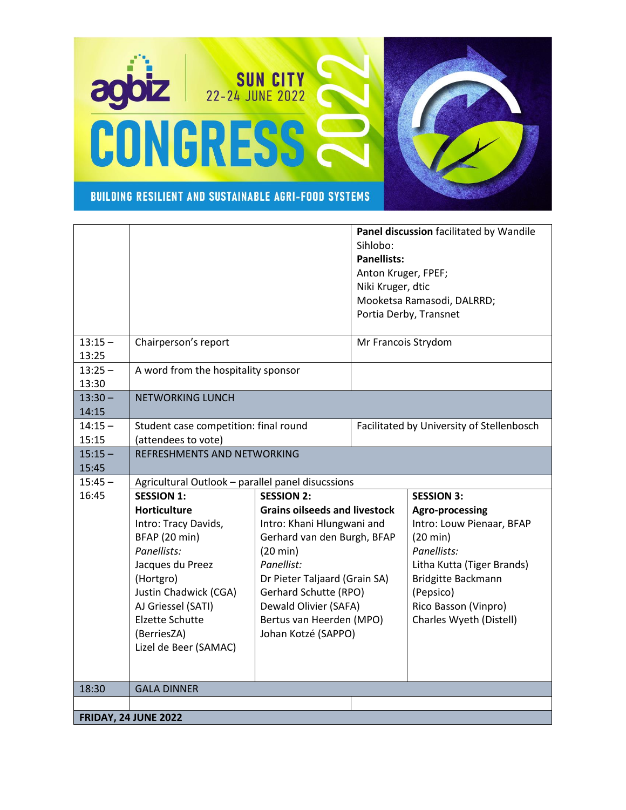